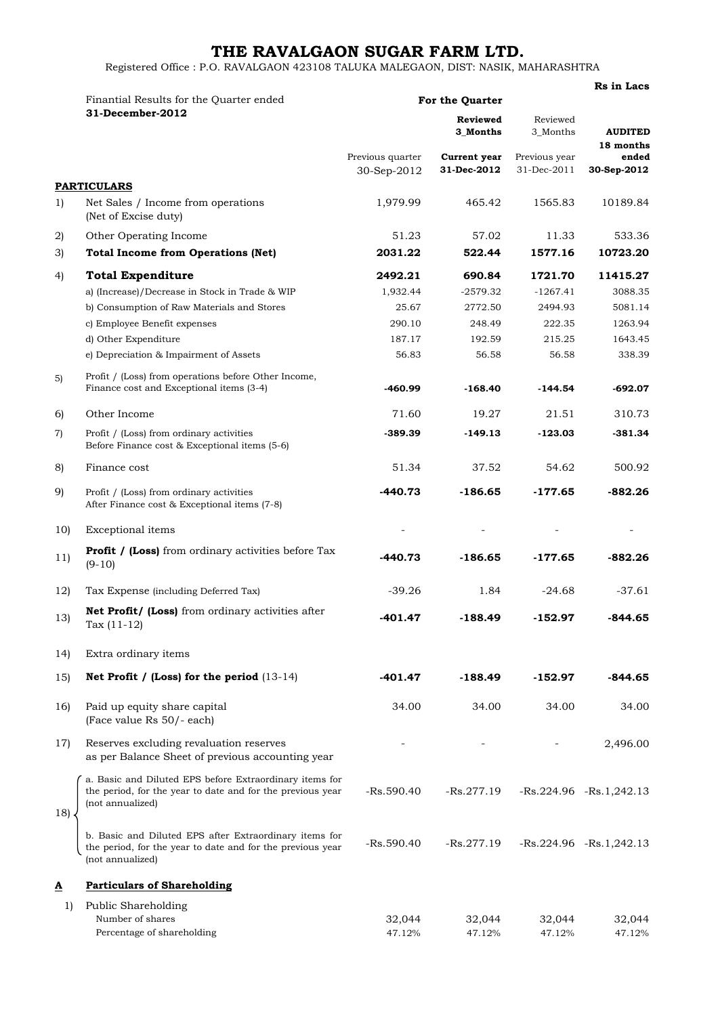## **THE RAVALGAON SUGAR FARM LTD.**

**Rs in Lacs**

Registered Office : P.O. RAVALGAON 423108 TALUKA MALEGAON, DIST: NASIK, MAHARASHTRA

|                 | Finantial Results for the Quarter ended<br>31-December-2012                                                                               | For the Quarter                 |                             |                              |                                   |  |
|-----------------|-------------------------------------------------------------------------------------------------------------------------------------------|---------------------------------|-----------------------------|------------------------------|-----------------------------------|--|
|                 |                                                                                                                                           | <b>Reviewed</b><br>3_Months     |                             | Reviewed<br>3_Months         | <b>AUDITED</b>                    |  |
|                 |                                                                                                                                           | Previous quarter<br>30-Sep-2012 | Current year<br>31-Dec-2012 | Previous year<br>31-Dec-2011 | 18 months<br>ended<br>30-Sep-2012 |  |
|                 | <b>PARTICULARS</b>                                                                                                                        |                                 |                             |                              |                                   |  |
| 1)              | Net Sales / Income from operations<br>(Net of Excise duty)                                                                                | 1,979.99                        | 465.42                      | 1565.83                      | 10189.84                          |  |
| 2)              | Other Operating Income                                                                                                                    | 51.23                           | 57.02                       | 11.33                        | 533.36                            |  |
| 3)              | <b>Total Income from Operations (Net)</b>                                                                                                 | 2031.22                         | 522.44                      | 1577.16                      | 10723.20                          |  |
| 4)              | <b>Total Expenditure</b>                                                                                                                  | 2492.21                         | 690.84                      | 1721.70                      | 11415.27                          |  |
|                 | a) (Increase)/Decrease in Stock in Trade & WIP                                                                                            | 1,932.44                        | $-2579.32$                  | $-1267.41$                   | 3088.35                           |  |
|                 | b) Consumption of Raw Materials and Stores                                                                                                | 25.67                           | 2772.50                     | 2494.93                      | 5081.14                           |  |
|                 | c) Employee Benefit expenses                                                                                                              | 290.10                          | 248.49                      | 222.35                       | 1263.94                           |  |
|                 | d) Other Expenditure                                                                                                                      | 187.17                          | 192.59                      | 215.25                       | 1643.45                           |  |
|                 | e) Depreciation & Impairment of Assets                                                                                                    | 56.83                           | 56.58                       | 56.58                        | 338.39                            |  |
| 5)              | Profit / (Loss) from operations before Other Income,<br>Finance cost and Exceptional items (3-4)                                          | -460.99                         | $-168.40$                   | $-144.54$                    | -692.07                           |  |
| 6)              | Other Income                                                                                                                              | 71.60                           | 19.27                       | 21.51                        | 310.73                            |  |
| 7)              | Profit / (Loss) from ordinary activities                                                                                                  | -389.39                         | $-149.13$                   | $-123.03$                    | $-381.34$                         |  |
|                 | Before Finance cost & Exceptional items (5-6)                                                                                             |                                 |                             |                              |                                   |  |
| 8)              | Finance cost                                                                                                                              | 51.34                           | 37.52                       | 54.62                        | 500.92                            |  |
| 9)              | Profit / (Loss) from ordinary activities<br>After Finance cost & Exceptional items (7-8)                                                  | $-440.73$                       | $-186.65$                   | $-177.65$                    | -882.26                           |  |
| 10 <sub>l</sub> | Exceptional items                                                                                                                         |                                 |                             |                              |                                   |  |
|                 | <b>Profit / (Loss)</b> from ordinary activities before Tax                                                                                |                                 |                             |                              |                                   |  |
| 11)             | $(9-10)$                                                                                                                                  | $-440.73$                       | $-186.65$                   | $-177.65$                    | $-882.26$                         |  |
| 12)             | Tax Expense (including Deferred Tax)                                                                                                      | $-39.26$                        | 1.84                        | $-24.68$                     | $-37.61$                          |  |
| 13)             | Net Profit/ (Loss) from ordinary activities after<br>Tax $(11-12)$                                                                        | $-401.47$                       | $-188.49$                   | -152.97                      | $-844.65$                         |  |
| 14)             | Extra ordinary items                                                                                                                      |                                 |                             |                              |                                   |  |
| 15)             | Net Profit / (Loss) for the period $(13-14)$                                                                                              | -401.47                         | $-188.49$                   | -152.97                      | -844.65                           |  |
| 16)             | Paid up equity share capital<br>(Face value Rs 50/- each)                                                                                 | 34.00                           | 34.00                       | 34.00                        | 34.00                             |  |
| 17)             | Reserves excluding revaluation reserves<br>as per Balance Sheet of previous accounting year                                               |                                 |                             |                              | 2,496.00                          |  |
| 18)             | a. Basic and Diluted EPS before Extraordinary items for<br>the period, for the year to date and for the previous year<br>(not annualized) | $-Rs.590.40$                    | $-Rs.277.19$                |                              | $-Rs.224.96$ $-Rs.1,242.13$       |  |
|                 | b. Basic and Diluted EPS after Extraordinary items for<br>the period, for the year to date and for the previous year<br>(not annualized)  | $-Rs.590.40$                    | -Rs.277.19                  |                              | $-Rs.224.96$ $-Rs.1,242.13$       |  |
| ≜               | <b>Particulars of Shareholding</b>                                                                                                        |                                 |                             |                              |                                   |  |
| 1)              | Public Shareholding                                                                                                                       |                                 |                             |                              |                                   |  |
|                 | Number of shares                                                                                                                          | 32,044                          | 32,044                      | 32,044                       | 32,044                            |  |
|                 | Percentage of shareholding                                                                                                                | 47.12%                          | 47.12%                      | 47.12%                       | 47.12%                            |  |